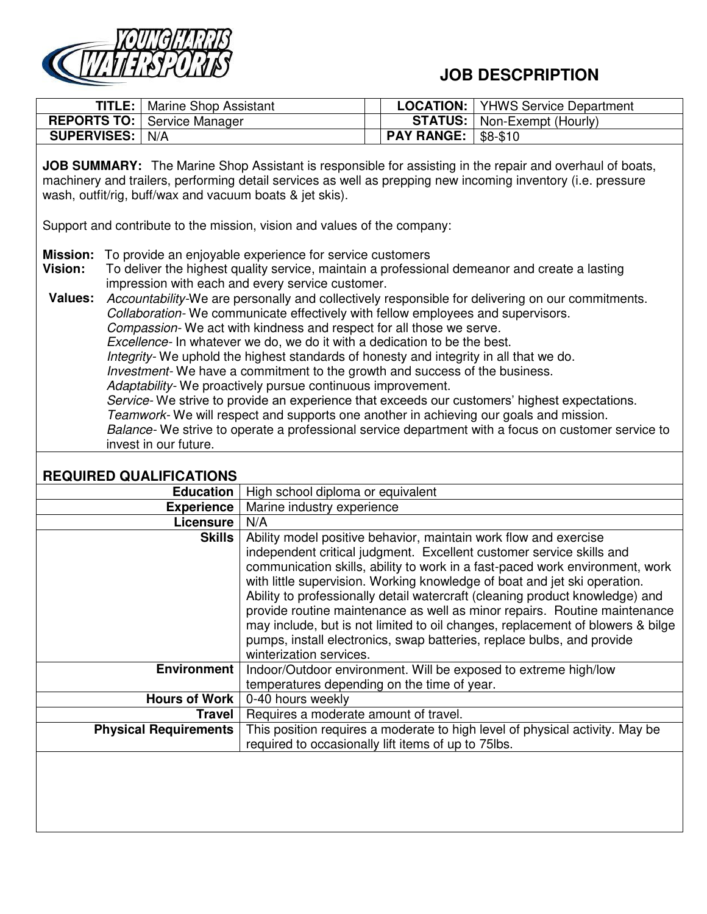

## **JOB DESCPRIPTION**

|                                              |                                                          |                                                                                                                                                                                                                                                                                                                                                                                                                                                                                                                                                                                                                                                                                       |                   | PLUVI III IIVI                                                                                                                                                                                                                                                                                                                                                                                                                                                                                                                                             |
|----------------------------------------------|----------------------------------------------------------|---------------------------------------------------------------------------------------------------------------------------------------------------------------------------------------------------------------------------------------------------------------------------------------------------------------------------------------------------------------------------------------------------------------------------------------------------------------------------------------------------------------------------------------------------------------------------------------------------------------------------------------------------------------------------------------|-------------------|------------------------------------------------------------------------------------------------------------------------------------------------------------------------------------------------------------------------------------------------------------------------------------------------------------------------------------------------------------------------------------------------------------------------------------------------------------------------------------------------------------------------------------------------------------|
|                                              | TITLE:<br>Marine Shop Assistant                          |                                                                                                                                                                                                                                                                                                                                                                                                                                                                                                                                                                                                                                                                                       | <b>LOCATION:</b>  | <b>YHWS Service Department</b>                                                                                                                                                                                                                                                                                                                                                                                                                                                                                                                             |
| <b>REPORTS TO:</b>                           | Service Manager                                          |                                                                                                                                                                                                                                                                                                                                                                                                                                                                                                                                                                                                                                                                                       | <b>STATUS:</b>    | Non-Exempt (Hourly)                                                                                                                                                                                                                                                                                                                                                                                                                                                                                                                                        |
| <b>SUPERVISES:</b>                           | N/A                                                      |                                                                                                                                                                                                                                                                                                                                                                                                                                                                                                                                                                                                                                                                                       | <b>PAY RANGE:</b> | \$8-\$10                                                                                                                                                                                                                                                                                                                                                                                                                                                                                                                                                   |
|                                              | wash, outfit/rig, buff/wax and vacuum boats & jet skis). |                                                                                                                                                                                                                                                                                                                                                                                                                                                                                                                                                                                                                                                                                       |                   | JOB SUMMARY: The Marine Shop Assistant is responsible for assisting in the repair and overhaul of boats,<br>machinery and trailers, performing detail services as well as prepping new incoming inventory (i.e. pressure                                                                                                                                                                                                                                                                                                                                   |
|                                              |                                                          | Support and contribute to the mission, vision and values of the company:                                                                                                                                                                                                                                                                                                                                                                                                                                                                                                                                                                                                              |                   |                                                                                                                                                                                                                                                                                                                                                                                                                                                                                                                                                            |
| <b>Mission:</b><br>Vision:<br><b>Values:</b> | invest in our future.                                    | To provide an enjoyable experience for service customers<br>impression with each and every service customer.<br>Collaboration- We communicate effectively with fellow employees and supervisors.<br>Compassion-We act with kindness and respect for all those we serve.<br>Excellence- In whatever we do, we do it with a dedication to be the best.<br>Integrity- We uphold the highest standards of honesty and integrity in all that we do.<br>Investment- We have a commitment to the growth and success of the business.<br>Adaptability-We proactively pursue continuous improvement.<br>Teamwork- We will respect and supports one another in achieving our goals and mission. |                   | To deliver the highest quality service, maintain a professional demeanor and create a lasting<br>Accountability-We are personally and collectively responsible for delivering on our commitments.<br>Service- We strive to provide an experience that exceeds our customers' highest expectations.<br>Balance- We strive to operate a professional service department with a focus on customer service to                                                                                                                                                  |
|                                              | <b>REQUIRED QUALIFICATIONS</b>                           |                                                                                                                                                                                                                                                                                                                                                                                                                                                                                                                                                                                                                                                                                       |                   |                                                                                                                                                                                                                                                                                                                                                                                                                                                                                                                                                            |
|                                              | <b>Education</b>                                         | High school diploma or equivalent                                                                                                                                                                                                                                                                                                                                                                                                                                                                                                                                                                                                                                                     |                   |                                                                                                                                                                                                                                                                                                                                                                                                                                                                                                                                                            |
|                                              | <b>Experience</b>                                        | Marine industry experience                                                                                                                                                                                                                                                                                                                                                                                                                                                                                                                                                                                                                                                            |                   |                                                                                                                                                                                                                                                                                                                                                                                                                                                                                                                                                            |
|                                              | Licensure                                                | N/A                                                                                                                                                                                                                                                                                                                                                                                                                                                                                                                                                                                                                                                                                   |                   |                                                                                                                                                                                                                                                                                                                                                                                                                                                                                                                                                            |
|                                              | <b>Skills</b>                                            | Ability model positive behavior, maintain work flow and exercise                                                                                                                                                                                                                                                                                                                                                                                                                                                                                                                                                                                                                      |                   | independent critical judgment. Excellent customer service skills and<br>communication skills, ability to work in a fast-paced work environment, work<br>with little supervision. Working knowledge of boat and jet ski operation.<br>Ability to professionally detail watercraft (cleaning product knowledge) and<br>provide routine maintenance as well as minor repairs. Routine maintenance<br>may include, but is not limited to oil changes, replacement of blowers & bilge<br>pumps, install electronics, swap batteries, replace bulbs, and provide |

winterization services.

**Hours of Work** 0-40 hours weekly

**Travel** Requires a moderate amount of travel.<br>**Physical Requirements** This position requires a moderate to high

**Environment** | Indoor/Outdoor environment. Will be exposed to extreme high/low temperatures depending on the time of year.

required to occasionally lift items of up to 75lbs.

This position requires a moderate to high level of physical activity. May be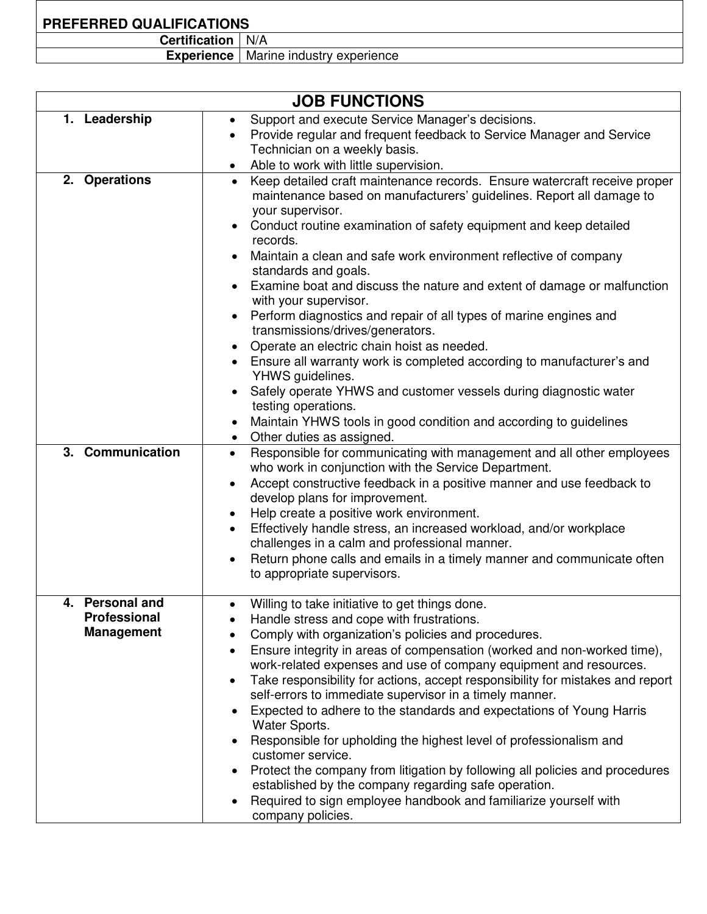## **PREFERRED QUALIFICATIONS**

| <b>Certification</b>   N/A |  |
|----------------------------|--|
|                            |  |

**Experience** | Marine industry experience

| <b>JOB FUNCTIONS</b>                                        |                                                                                                                                                                                                                                                                                                                                                                                                                                                                                                                                                                                                                                                                                                                                                                                                                                                                                                                                                |  |  |  |  |
|-------------------------------------------------------------|------------------------------------------------------------------------------------------------------------------------------------------------------------------------------------------------------------------------------------------------------------------------------------------------------------------------------------------------------------------------------------------------------------------------------------------------------------------------------------------------------------------------------------------------------------------------------------------------------------------------------------------------------------------------------------------------------------------------------------------------------------------------------------------------------------------------------------------------------------------------------------------------------------------------------------------------|--|--|--|--|
| 1. Leadership                                               | Support and execute Service Manager's decisions.<br>$\bullet$<br>Provide regular and frequent feedback to Service Manager and Service<br>$\bullet$<br>Technician on a weekly basis.<br>Able to work with little supervision.<br>$\bullet$                                                                                                                                                                                                                                                                                                                                                                                                                                                                                                                                                                                                                                                                                                      |  |  |  |  |
| 2. Operations                                               | Keep detailed craft maintenance records. Ensure watercraft receive proper<br>$\bullet$<br>maintenance based on manufacturers' guidelines. Report all damage to<br>your supervisor.<br>Conduct routine examination of safety equipment and keep detailed<br>records.<br>Maintain a clean and safe work environment reflective of company<br>standards and goals.<br>Examine boat and discuss the nature and extent of damage or malfunction<br>with your supervisor.<br>Perform diagnostics and repair of all types of marine engines and<br>$\bullet$<br>transmissions/drives/generators.<br>Operate an electric chain hoist as needed.<br>Ensure all warranty work is completed according to manufacturer's and<br>YHWS guidelines.<br>Safely operate YHWS and customer vessels during diagnostic water<br>testing operations.<br>Maintain YHWS tools in good condition and according to guidelines<br>Other duties as assigned.<br>$\bullet$ |  |  |  |  |
| 3. Communication                                            | Responsible for communicating with management and all other employees<br>$\bullet$<br>who work in conjunction with the Service Department.<br>Accept constructive feedback in a positive manner and use feedback to<br>$\bullet$<br>develop plans for improvement.<br>Help create a positive work environment.<br>$\bullet$<br>Effectively handle stress, an increased workload, and/or workplace<br>challenges in a calm and professional manner.<br>Return phone calls and emails in a timely manner and communicate often<br>$\bullet$<br>to appropriate supervisors.                                                                                                                                                                                                                                                                                                                                                                       |  |  |  |  |
| 4. Personal and<br><b>Professional</b><br><b>Management</b> | Willing to take initiative to get things done.<br>Handle stress and cope with frustrations.<br>Comply with organization's policies and procedures.<br>Ensure integrity in areas of compensation (worked and non-worked time),<br>work-related expenses and use of company equipment and resources.<br>Take responsibility for actions, accept responsibility for mistakes and report<br>$\bullet$<br>self-errors to immediate supervisor in a timely manner.<br>Expected to adhere to the standards and expectations of Young Harris<br>$\bullet$<br>Water Sports.<br>Responsible for upholding the highest level of professionalism and<br>customer service.<br>Protect the company from litigation by following all policies and procedures<br>established by the company regarding safe operation.<br>Required to sign employee handbook and familiarize yourself with<br>$\bullet$<br>company policies.                                    |  |  |  |  |